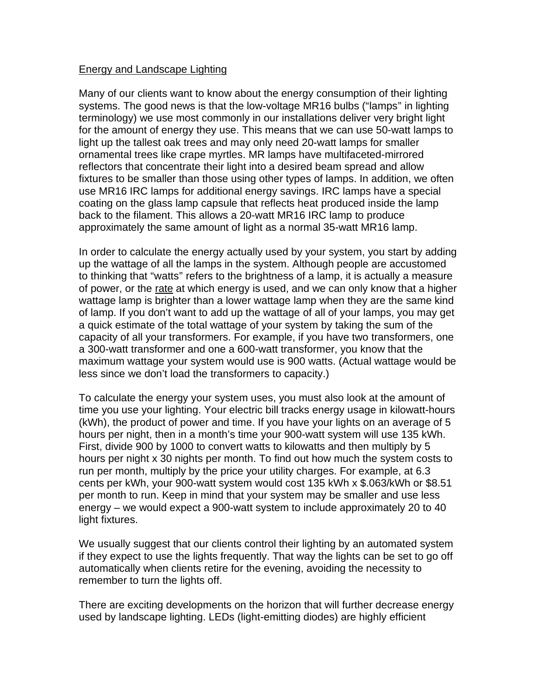## Energy and Landscape Lighting

Many of our clients want to know about the energy consumption of their lighting systems. The good news is that the low-voltage MR16 bulbs ("lamps" in lighting terminology) we use most commonly in our installations deliver very bright light for the amount of energy they use. This means that we can use 50-watt lamps to light up the tallest oak trees and may only need 20-watt lamps for smaller ornamental trees like crape myrtles. MR lamps have multifaceted-mirrored reflectors that concentrate their light into a desired beam spread and allow fixtures to be smaller than those using other types of lamps. In addition, we often use MR16 IRC lamps for additional energy savings. IRC lamps have a special coating on the glass lamp capsule that reflects heat produced inside the lamp back to the filament. This allows a 20-watt MR16 IRC lamp to produce approximately the same amount of light as a normal 35-watt MR16 lamp.

In order to calculate the energy actually used by your system, you start by adding up the wattage of all the lamps in the system. Although people are accustomed to thinking that "watts" refers to the brightness of a lamp, it is actually a measure of power, or the rate at which energy is used, and we can only know that a higher wattage lamp is brighter than a lower wattage lamp when they are the same kind of lamp. If you don't want to add up the wattage of all of your lamps, you may get a quick estimate of the total wattage of your system by taking the sum of the capacity of all your transformers. For example, if you have two transformers, one a 300-watt transformer and one a 600-watt transformer, you know that the maximum wattage your system would use is 900 watts. (Actual wattage would be less since we don't load the transformers to capacity.)

To calculate the energy your system uses, you must also look at the amount of time you use your lighting. Your electric bill tracks energy usage in kilowatt-hours (kWh), the product of power and time. If you have your lights on an average of 5 hours per night, then in a month's time your 900-watt system will use 135 kWh. First, divide 900 by 1000 to convert watts to kilowatts and then multiply by 5 hours per night x 30 nights per month. To find out how much the system costs to run per month, multiply by the price your utility charges. For example, at 6.3 cents per kWh, your 900-watt system would cost 135 kWh x \$.063/kWh or \$8.51 per month to run. Keep in mind that your system may be smaller and use less energy – we would expect a 900-watt system to include approximately 20 to 40 light fixtures.

We usually suggest that our clients control their lighting by an automated system if they expect to use the lights frequently. That way the lights can be set to go off automatically when clients retire for the evening, avoiding the necessity to remember to turn the lights off.

There are exciting developments on the horizon that will further decrease energy used by landscape lighting. LEDs (light-emitting diodes) are highly efficient